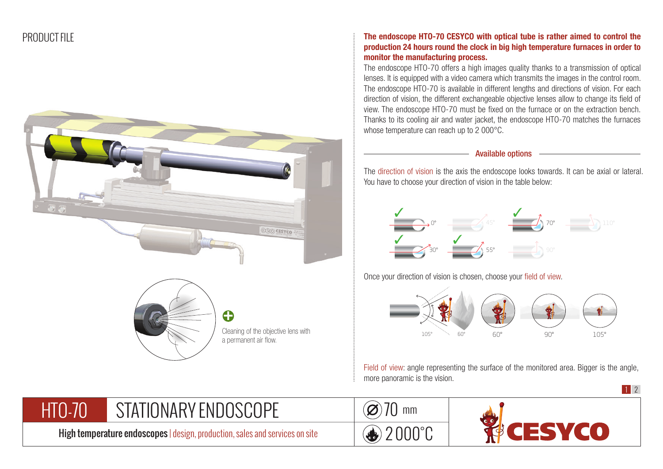



## The endoscope HTO-70 CESYCO with optical tube is rather aimed to control the production 24 hours round the clock in big high temperature furnaces in order to monitor the manufacturing process.

The endoscope HTO-70 offers a high images quality thanks to a transmission of optical lenses. It is equipped with a video camera which transmits the images in the control room. The endoscope HTO-70 is available in different lengths and directions of vision. For each direction of vision, the different exchangeable objective lenses allow to change its field of view. The endoscope HTO-70 must be fixed on the furnace or on the extraction bench. Thanks to its cooling air and water jacket, the endoscope HTO-70 matches the furnaces whose temperature can reach up to 2 000°C.

## Available options

The direction of vision is the axis the endoscope looks towards. It can be axial or lateral. You have to choose your direction of vision in the table below:



Once your direction of vision is chosen, choose your field of view.



Field of view: angle representing the surface of the monitored area. Bigger is the angle, more panoramic is the vision.